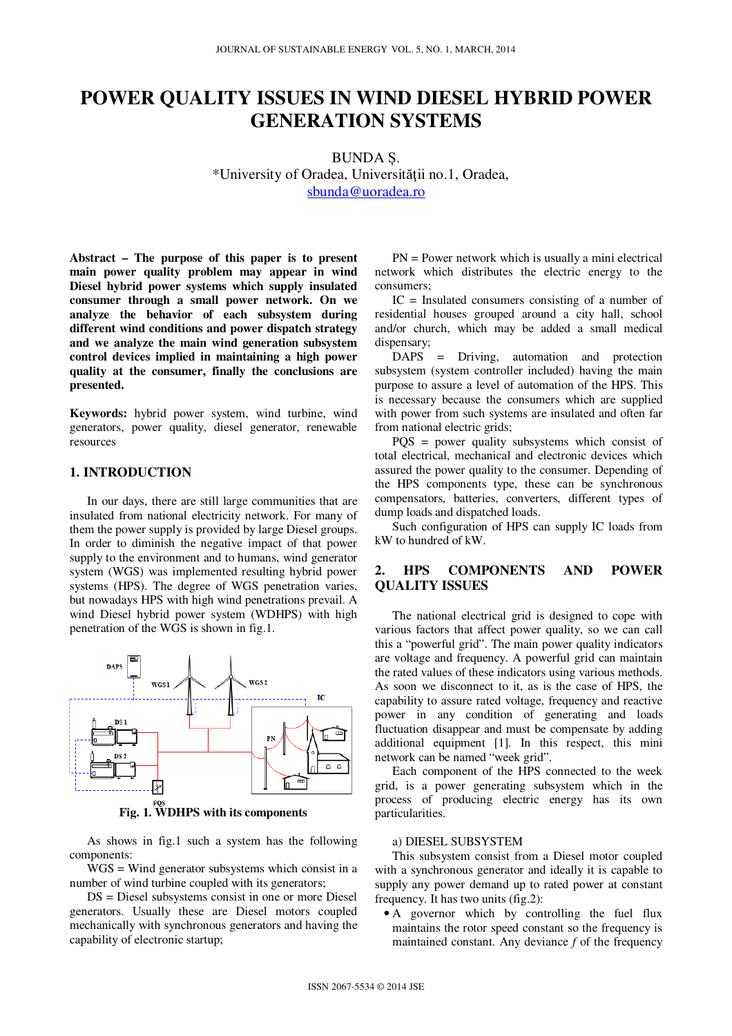# **POWER QUALITY ISSUES IN WIND DIESEL HYBRID POWER GENERATION SYSTEMS**

BUNDA Ș. \*University of Oradea, Universităţii no.1, Oradea, sbunda@uoradea.ro

**Abstract – The purpose of this paper is to present main power quality problem may appear in wind Diesel hybrid power systems which supply insulated consumer through a small power network. On we analyze the behavior of each subsystem during different wind conditions and power dispatch strategy and we analyze the main wind generation subsystem control devices implied in maintaining a high power quality at the consumer, finally the conclusions are presented.** 

**Keywords:** hybrid power system, wind turbine, wind generators, power quality, diesel generator, renewable resources

## **1. INTRODUCTION**

In our days, there are still large communities that are insulated from national electricity network. For many of them the power supply is provided by large Diesel groups. In order to diminish the negative impact of that power supply to the environment and to humans, wind generator system (WGS) was implemented resulting hybrid power systems (HPS). The degree of WGS penetration varies, but nowadays HPS with high wind penetrations prevail. A wind Diesel hybrid power system (WDHPS) with high penetration of the WGS is shown in fig.1.



**Fig. 1. WDHPS with its components** 

As shows in fig.1 such a system has the following components:

WGS = Wind generator subsystems which consist in a number of wind turbine coupled with its generators;

DS = Diesel subsystems consist in one or more Diesel generators. Usually these are Diesel motors coupled mechanically with synchronous generators and having the capability of electronic startup;

PN = Power network which is usually a mini electrical network which distributes the electric energy to the consumers;

IC = Insulated consumers consisting of a number of residential houses grouped around a city hall, school and/or church, which may be added a small medical dispensary;

DAPS = Driving, automation and protection subsystem (system controller included) having the main purpose to assure a level of automation of the HPS. This is necessary because the consumers which are supplied with power from such systems are insulated and often far from national electric grids;

PQS = power quality subsystems which consist of total electrical, mechanical and electronic devices which assured the power quality to the consumer. Depending of the HPS components type, these can be synchronous compensators, batteries, converters, different types of dump loads and dispatched loads.

Such configuration of HPS can supply IC loads from kW to hundred of kW.

## **2. HPS COMPONENTS AND POWER QUALITY ISSUES**

The national electrical grid is designed to cope with various factors that affect power quality, so we can call this a "powerful grid". The main power quality indicators are voltage and frequency. A powerful grid can maintain the rated values of these indicators using various methods. As soon we disconnect to it, as is the case of HPS, the capability to assure rated voltage, frequency and reactive power in any condition of generating and loads fluctuation disappear and must be compensate by adding additional equipment [1]. In this respect, this mini network can be named "week grid".

Each component of the HPS connected to the week grid, is a power generating subsystem which in the process of producing electric energy has its own particularities.

#### a) DIESEL SUBSYSTEM

This subsystem consist from a Diesel motor coupled with a synchronous generator and ideally it is capable to supply any power demand up to rated power at constant frequency. It has two units (fig.2):

• A governor which by controlling the fuel flux maintains the rotor speed constant so the frequency is maintained constant. Any deviance *f* of the frequency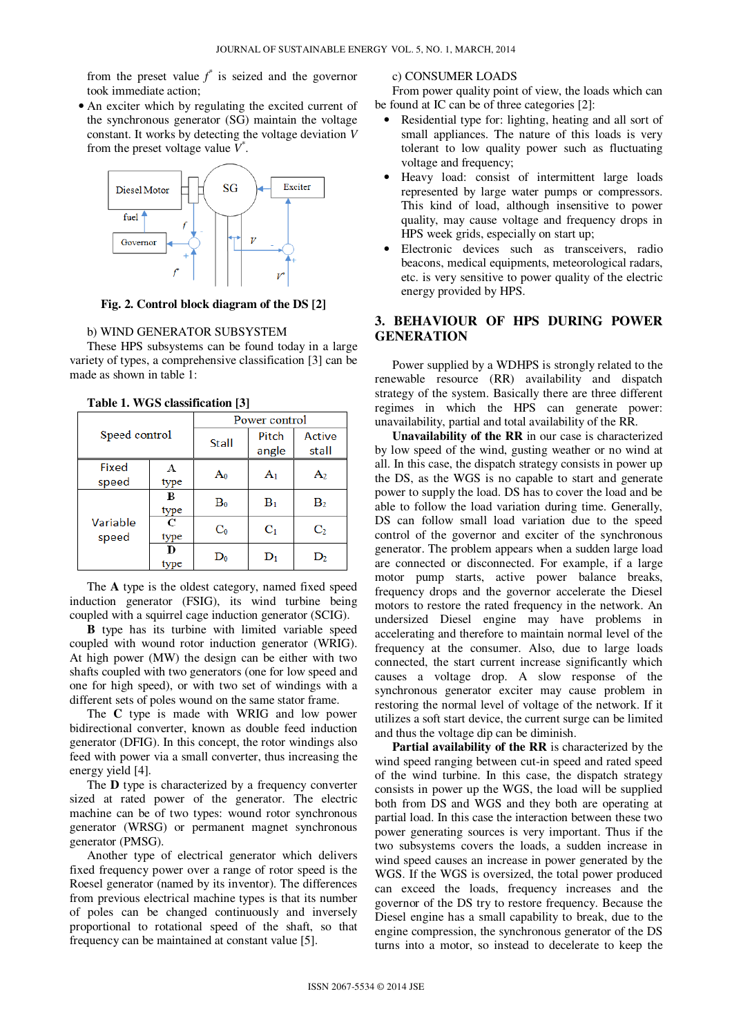from the preset value  $f^*$  is seized and the governor took immediate action;

• An exciter which by regulating the excited current of the synchronous generator (SG) maintain the voltage constant. It works by detecting the voltage deviation *V* from the preset voltage value  $V^*$ .



**Fig. 2. Control block diagram of the DS [2]** 

#### b) WIND GENERATOR SUBSYSTEM

These HPS subsystems can be found today in a large variety of types, a comprehensive classification [3] can be made as shown in table 1:

| Speed control     |           | Power control  |                |                |
|-------------------|-----------|----------------|----------------|----------------|
|                   |           | <b>Stall</b>   | Pitch          | Active         |
|                   |           |                | angle          | stall          |
| Fixed             | А         | Aο             | $A_1$          | A2             |
| speed             | type      |                |                |                |
| Variable<br>speed | B         | $B_0$          | $B_1$          | B <sub>2</sub> |
|                   | type      |                |                |                |
|                   | C         | $\mathrm{C}_0$ | $C_1$          | C <sub>2</sub> |
|                   | type      |                |                |                |
|                   | D<br>type | D٥             | $\mathbf{D}_1$ | D2             |

**Table 1. WGS classification [3]**

The **A** type is the oldest category, named fixed speed induction generator (FSIG), its wind turbine being coupled with a squirrel cage induction generator (SCIG).

**B** type has its turbine with limited variable speed coupled with wound rotor induction generator (WRIG). At high power (MW) the design can be either with two shafts coupled with two generators (one for low speed and one for high speed), or with two set of windings with a different sets of poles wound on the same stator frame.

The **C** type is made with WRIG and low power bidirectional converter, known as double feed induction generator (DFIG). In this concept, the rotor windings also feed with power via a small converter, thus increasing the energy yield [4].

The **D** type is characterized by a frequency converter sized at rated power of the generator. The electric machine can be of two types: wound rotor synchronous generator (WRSG) or permanent magnet synchronous generator (PMSG).

Another type of electrical generator which delivers fixed frequency power over a range of rotor speed is the Roesel generator (named by its inventor). The differences from previous electrical machine types is that its number of poles can be changed continuously and inversely proportional to rotational speed of the shaft, so that frequency can be maintained at constant value [5].

#### c) CONSUMER LOADS

From power quality point of view, the loads which can be found at IC can be of three categories [2]:

- Residential type for: lighting, heating and all sort of small appliances. The nature of this loads is very tolerant to low quality power such as fluctuating voltage and frequency;
- Heavy load: consist of intermittent large loads represented by large water pumps or compressors. This kind of load, although insensitive to power quality, may cause voltage and frequency drops in HPS week grids, especially on start up;
- Electronic devices such as transceivers, radio beacons, medical equipments, meteorological radars, etc. is very sensitive to power quality of the electric energy provided by HPS.

### **3. BEHAVIOUR OF HPS DURING POWER GENERATION**

Power supplied by a WDHPS is strongly related to the renewable resource (RR) availability and dispatch strategy of the system. Basically there are three different regimes in which the HPS can generate power: unavailability, partial and total availability of the RR.

**Unavailability of the RR** in our case is characterized by low speed of the wind, gusting weather or no wind at all. In this case, the dispatch strategy consists in power up the DS, as the WGS is no capable to start and generate power to supply the load. DS has to cover the load and be able to follow the load variation during time. Generally, DS can follow small load variation due to the speed control of the governor and exciter of the synchronous generator. The problem appears when a sudden large load are connected or disconnected. For example, if a large motor pump starts, active power balance breaks, frequency drops and the governor accelerate the Diesel motors to restore the rated frequency in the network. An undersized Diesel engine may have problems in accelerating and therefore to maintain normal level of the frequency at the consumer. Also, due to large loads connected, the start current increase significantly which causes a voltage drop. A slow response of the synchronous generator exciter may cause problem in restoring the normal level of voltage of the network. If it utilizes a soft start device, the current surge can be limited and thus the voltage dip can be diminish.

**Partial availability of the RR** is characterized by the wind speed ranging between cut-in speed and rated speed of the wind turbine. In this case, the dispatch strategy consists in power up the WGS, the load will be supplied both from DS and WGS and they both are operating at partial load. In this case the interaction between these two power generating sources is very important. Thus if the two subsystems covers the loads, a sudden increase in wind speed causes an increase in power generated by the WGS. If the WGS is oversized, the total power produced can exceed the loads, frequency increases and the governor of the DS try to restore frequency. Because the Diesel engine has a small capability to break, due to the engine compression, the synchronous generator of the DS turns into a motor, so instead to decelerate to keep the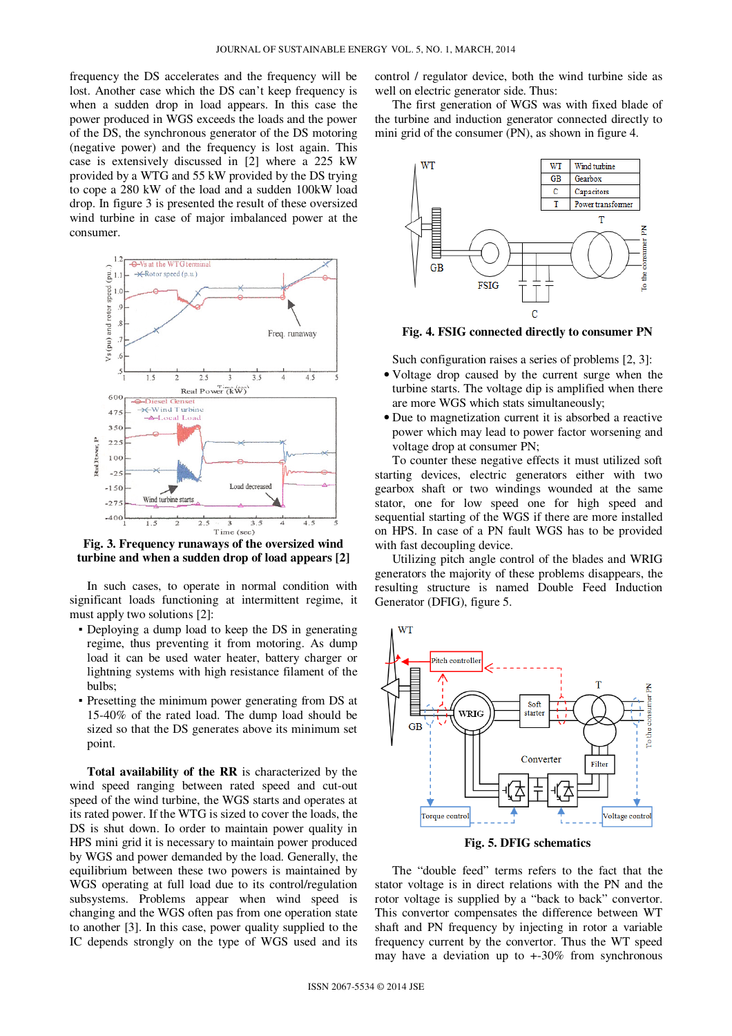frequency the DS accelerates and the frequency will be lost. Another case which the DS can't keep frequency is when a sudden drop in load appears. In this case the power produced in WGS exceeds the loads and the power of the DS, the synchronous generator of the DS motoring (negative power) and the frequency is lost again. This case is extensively discussed in [2] where a 225 kW provided by a WTG and 55 kW provided by the DS trying to cope a 280 kW of the load and a sudden 100kW load drop. In figure 3 is presented the result of these oversized wind turbine in case of major imbalanced power at the consumer.



**Fig. 3. Frequency runaways of the oversized wind turbine and when a sudden drop of load appears [2]**

In such cases, to operate in normal condition with significant loads functioning at intermittent regime, it must apply two solutions [2]:

- Deploying a dump load to keep the DS in generating regime, thus preventing it from motoring. As dump load it can be used water heater, battery charger or lightning systems with high resistance filament of the bulbs;
- Presetting the minimum power generating from DS at 15-40% of the rated load. The dump load should be sized so that the DS generates above its minimum set point.

**Total availability of the RR** is characterized by the wind speed ranging between rated speed and cut-out speed of the wind turbine, the WGS starts and operates at its rated power. If the WTG is sized to cover the loads, the DS is shut down. Io order to maintain power quality in HPS mini grid it is necessary to maintain power produced by WGS and power demanded by the load. Generally, the equilibrium between these two powers is maintained by WGS operating at full load due to its control/regulation subsystems. Problems appear when wind speed is changing and the WGS often pas from one operation state to another [3]. In this case, power quality supplied to the IC depends strongly on the type of WGS used and its

control / regulator device, both the wind turbine side as well on electric generator side. Thus:

The first generation of WGS was with fixed blade of the turbine and induction generator connected directly to mini grid of the consumer (PN), as shown in figure 4.



**Fig. 4. FSIG connected directly to consumer PN**

Such configuration raises a series of problems [2, 3]:

- Voltage drop caused by the current surge when the turbine starts. The voltage dip is amplified when there are more WGS which stats simultaneously;
- Due to magnetization current it is absorbed a reactive power which may lead to power factor worsening and voltage drop at consumer PN;

To counter these negative effects it must utilized soft starting devices, electric generators either with two gearbox shaft or two windings wounded at the same stator, one for low speed one for high speed and sequential starting of the WGS if there are more installed on HPS. In case of a PN fault WGS has to be provided with fast decoupling device.

Utilizing pitch angle control of the blades and WRIG generators the majority of these problems disappears, the resulting structure is named Double Feed Induction Generator (DFIG), figure 5.



**Fig. 5. DFIG schematics**

The "double feed" terms refers to the fact that the stator voltage is in direct relations with the PN and the rotor voltage is supplied by a "back to back" convertor. This convertor compensates the difference between WT shaft and PN frequency by injecting in rotor a variable frequency current by the convertor. Thus the WT speed may have a deviation up to  $+30\%$  from synchronous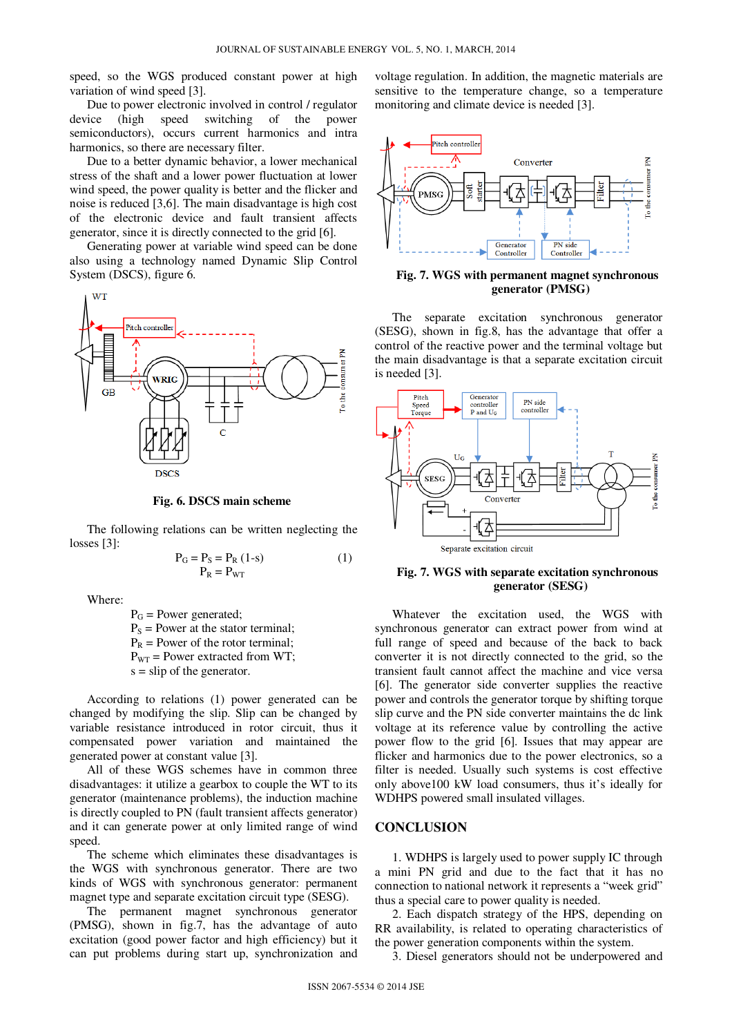speed, so the WGS produced constant power at high variation of wind speed [3].

Due to power electronic involved in control / regulator device (high speed switching of the power semiconductors), occurs current harmonics and intra harmonics, so there are necessary filter.

Due to a better dynamic behavior, a lower mechanical stress of the shaft and a lower power fluctuation at lower wind speed, the power quality is better and the flicker and noise is reduced [3,6]. The main disadvantage is high cost of the electronic device and fault transient affects generator, since it is directly connected to the grid [6].

Generating power at variable wind speed can be done also using a technology named Dynamic Slip Control System (DSCS), figure 6.



**Fig. 6. DSCS main scheme**

The following relations can be written neglecting the losses [3]:

$$
P_G = P_S = P_R (1-s)
$$
  
\n
$$
P_R = P_{WT}
$$
\n(1)

Where:

 $P_G$  = Power generated:  $P_s$  = Power at the stator terminal;  $P_R$  = Power of the rotor terminal;  $P_{WT}$  = Power extracted from WT;  $s =$ slip of the generator.

According to relations (1) power generated can be changed by modifying the slip. Slip can be changed by variable resistance introduced in rotor circuit, thus it compensated power variation and maintained the generated power at constant value [3].

All of these WGS schemes have in common three disadvantages: it utilize a gearbox to couple the WT to its generator (maintenance problems), the induction machine is directly coupled to PN (fault transient affects generator) and it can generate power at only limited range of wind speed.

The scheme which eliminates these disadvantages is the WGS with synchronous generator. There are two kinds of WGS with synchronous generator: permanent magnet type and separate excitation circuit type (SESG).

The permanent magnet synchronous generator (PMSG), shown in fig.7, has the advantage of auto excitation (good power factor and high efficiency) but it can put problems during start up, synchronization and voltage regulation. In addition, the magnetic materials are sensitive to the temperature change, so a temperature monitoring and climate device is needed [3].



**Fig. 7. WGS with permanent magnet synchronous generator (PMSG)**

The separate excitation synchronous generator (SESG), shown in fig.8, has the advantage that offer a control of the reactive power and the terminal voltage but the main disadvantage is that a separate excitation circuit is needed [3].



**Fig. 7. WGS with separate excitation synchronous generator (SESG)**

Whatever the excitation used, the WGS with synchronous generator can extract power from wind at full range of speed and because of the back to back converter it is not directly connected to the grid, so the transient fault cannot affect the machine and vice versa [6]. The generator side converter supplies the reactive power and controls the generator torque by shifting torque slip curve and the PN side converter maintains the dc link voltage at its reference value by controlling the active power flow to the grid [6]. Issues that may appear are flicker and harmonics due to the power electronics, so a filter is needed. Usually such systems is cost effective only above100 kW load consumers, thus it's ideally for WDHPS powered small insulated villages.

### **CONCLUSION**

1. WDHPS is largely used to power supply IC through a mini PN grid and due to the fact that it has no connection to national network it represents a "week grid" thus a special care to power quality is needed.

2. Each dispatch strategy of the HPS, depending on RR availability, is related to operating characteristics of the power generation components within the system.

3. Diesel generators should not be underpowered and